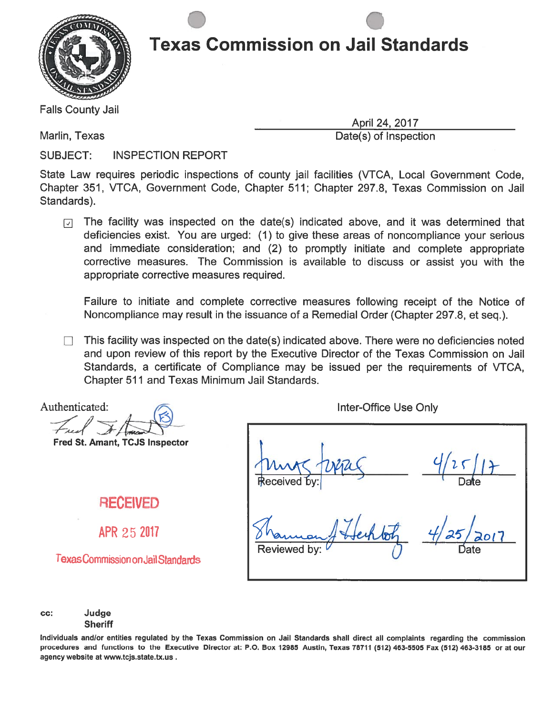

. The state is a state of the state  $\sim$ 

Falls County Jail

Marlin, Texas **Date(s)** of Inspection

April 24, 2017

SUBJECT: INSPECTION REPORT

State Law requires periodic inspections of county jail facilities (VTCA, Local Government Code, Chapter 351, VTCA, Government Code, Chapter 511; Chapter 297.8, Texas Commission on Jail Standards).

The facility was inspected on the date(s) indicated above, and it was determined that  $\sqrt{ }$ deficiencies exist. You are urged: (1) to give these areas of noncompliance your serious and immediate consideration; and (2) to promptly initiate and complete appropriate corrective measures. The Commission is available to discuss or assist you with the appropriate corrective measures required.

Failure to initiate and complete corrective measures following receipt of the Notice of Noncompliance may result in the issuance of <sup>a</sup> Remedial Order (Chapter 297.8, et seq.).

This facility was inspected on the date(s) indicated above. There were no deficiencies noted and upon review of this repor<sup>t</sup> by the Executive Director of the Texas Commission on Jail Standards, <sup>a</sup> certificate of Compliance may be issued per the requirements of VTCA, Chapter 511 and Texas Minimum Jail Standards.

Authenticated: Fred

Fred St. Amant, TCJS Inspector

#### RECEIVED

APR 25 2017

TexasCommission onJail Standards

Inter-Office Use Only

Received

Reviewed by:  $\bigcirc$   $\qquad \qquad$   $\qquad$   $\qquad$   $\qquad$   $\qquad$   $\qquad$   $\qquad$   $\qquad$   $\qquad$   $\qquad$   $\qquad$   $\qquad$   $\qquad$   $\qquad$   $\qquad$   $\qquad$   $\qquad$   $\qquad$   $\qquad$   $\qquad$   $\qquad$   $\qquad$   $\qquad$   $\qquad$   $\qquad$   $\qquad$   $\qquad$   $\qquad$   $\qquad$   $\qquad$   $\qquad$   $\qquad$   $\qquad$ 

 $9/25/17$ 

cc: Judge **Sheriff** 

Individuals andlor entities regulated by the Texas commission on Jail Standards shall direct all complaints regarding the commission procedures and functions to the Executive Director at: P.O. Box 12985 Austin, Texas 78711 (512) 463-5505 Fax (512) 463-3185 or at our agency website at www.tcjs.state.tx.us.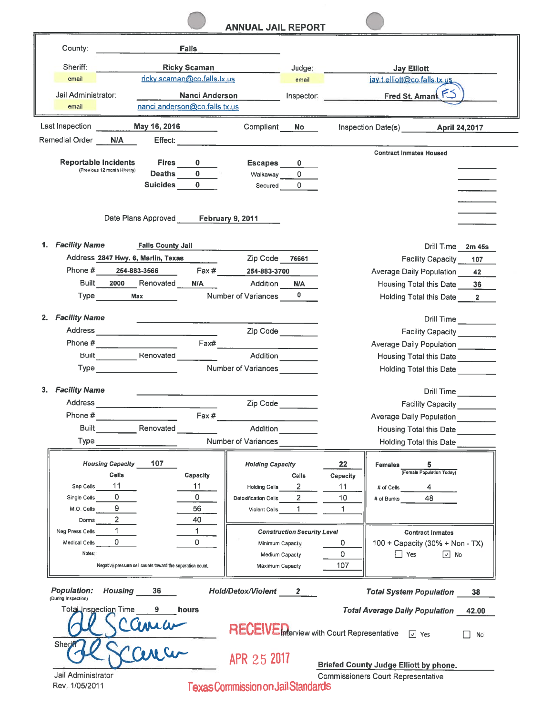|                                                                                                                                                                                                                                                                                                                                                                                                                          | <b>ANNUAL JAIL REPORT</b>                                     |                                                        |  |
|--------------------------------------------------------------------------------------------------------------------------------------------------------------------------------------------------------------------------------------------------------------------------------------------------------------------------------------------------------------------------------------------------------------------------|---------------------------------------------------------------|--------------------------------------------------------|--|
| County:<br><b>Falls</b>                                                                                                                                                                                                                                                                                                                                                                                                  |                                                               |                                                        |  |
| Sheriff:<br><b>Ricky Scaman</b>                                                                                                                                                                                                                                                                                                                                                                                          | Judge:                                                        | <b>Jay Elliott</b>                                     |  |
| ricky.scaman@co.falls.tx.us<br>email                                                                                                                                                                                                                                                                                                                                                                                     | email                                                         | jay.t.elliott@co.falls.tx.us                           |  |
| Jail Administrator:<br><b>Nanci Anderson</b>                                                                                                                                                                                                                                                                                                                                                                             | Inspector:                                                    | Fred St. Amant FS                                      |  |
| nanci.anderson@co.falls.tx.us<br>email                                                                                                                                                                                                                                                                                                                                                                                   |                                                               |                                                        |  |
| Last Inspection<br>May 16, 2016                                                                                                                                                                                                                                                                                                                                                                                          | Compliant<br>No.                                              | Inspection Date(s) April 24,2017                       |  |
| Remedial Order<br>N/A and the set of the set of the set of the set of the set of the set of the set of the set of the set of the set of the set of the set of the set of the set of the set of the set of the set of the set of the set of the s<br>Effect:                                                                                                                                                              |                                                               |                                                        |  |
|                                                                                                                                                                                                                                                                                                                                                                                                                          |                                                               | <b>Contract Inmates Housed</b>                         |  |
| <b>Reportable Incidents</b><br><b>Fires</b><br>(Previous 12 month History)<br>$\mathbf{0}$<br><b>Deaths</b>                                                                                                                                                                                                                                                                                                              | <b>Escapes</b><br>$\bf{0}$                                    |                                                        |  |
| $\Omega$<br><b>Suicides</b>                                                                                                                                                                                                                                                                                                                                                                                              | Walkaway<br>0<br>$\Omega$<br>Secured                          |                                                        |  |
|                                                                                                                                                                                                                                                                                                                                                                                                                          |                                                               |                                                        |  |
|                                                                                                                                                                                                                                                                                                                                                                                                                          |                                                               |                                                        |  |
| Date Plans Approved                                                                                                                                                                                                                                                                                                                                                                                                      | February 9, 2011                                              |                                                        |  |
|                                                                                                                                                                                                                                                                                                                                                                                                                          |                                                               |                                                        |  |
| 1. Facility Name<br><b>Falls County Jail</b>                                                                                                                                                                                                                                                                                                                                                                             |                                                               | Drill Time 2m 45s                                      |  |
| Address 2847 Hwy. 6, Marlin, Texas                                                                                                                                                                                                                                                                                                                                                                                       | Zip Code<br>76661                                             | <b>Facility Capacity</b><br>107                        |  |
| Phone # 254-883-3566                                                                                                                                                                                                                                                                                                                                                                                                     | Fax # 254-883-3700                                            | <b>Average Daily Population</b><br>42                  |  |
| Built 2000 Renovated<br>N/A<br><b>Type</b><br><b>Max</b>                                                                                                                                                                                                                                                                                                                                                                 | Addition<br><b>N/A</b><br>$\mathbf{0}$<br>Number of Variances | <b>Housing Total this Date</b><br>36                   |  |
|                                                                                                                                                                                                                                                                                                                                                                                                                          |                                                               | Holding Total this Date 2                              |  |
| <b>Facility Name</b><br>2.                                                                                                                                                                                                                                                                                                                                                                                               |                                                               | Drill Time                                             |  |
| Address<br><u> 1989 - Jan Alexandria (h. 1989).</u>                                                                                                                                                                                                                                                                                                                                                                      | Zip Code                                                      | Facility Capacity ________                             |  |
| Fax#                                                                                                                                                                                                                                                                                                                                                                                                                     |                                                               | Average Daily Population                               |  |
| Built Renovated                                                                                                                                                                                                                                                                                                                                                                                                          | Addition                                                      | <b>Housing Total this Date</b>                         |  |
| Type                                                                                                                                                                                                                                                                                                                                                                                                                     | <b>Number of Variances</b>                                    | <b>Holding Total this Date</b>                         |  |
| 3. Facility Name                                                                                                                                                                                                                                                                                                                                                                                                         |                                                               |                                                        |  |
| Address                                                                                                                                                                                                                                                                                                                                                                                                                  | Zip Code                                                      | Drill Time                                             |  |
| $Fax \#$<br>Phone # $\frac{1}{\sqrt{1-\frac{1}{2}}\sqrt{1-\frac{1}{2}}\sqrt{1-\frac{1}{2}}\sqrt{1-\frac{1}{2}}\sqrt{1-\frac{1}{2}}\sqrt{1-\frac{1}{2}}\sqrt{1-\frac{1}{2}}\sqrt{1-\frac{1}{2}}\sqrt{1-\frac{1}{2}}\sqrt{1-\frac{1}{2}}\sqrt{1-\frac{1}{2}}\sqrt{1-\frac{1}{2}}\sqrt{1-\frac{1}{2}}\sqrt{1-\frac{1}{2}}\sqrt{1-\frac{1}{2}}\sqrt{1-\frac{1}{2}}\sqrt{1-\frac{1}{2}}\sqrt{1-\frac{1}{2}}\sqrt{1-\frac{1}{$ |                                                               | <b>Facility Capacity</b><br>Average Daily Population   |  |
| <b>Built</b> Renovated                                                                                                                                                                                                                                                                                                                                                                                                   | Addition                                                      | <b>Housing Total this Date</b>                         |  |
| Type                                                                                                                                                                                                                                                                                                                                                                                                                     | Number of Variances                                           | <b>Holding Total this Date</b>                         |  |
|                                                                                                                                                                                                                                                                                                                                                                                                                          |                                                               |                                                        |  |
| <b>Housing Capacity</b><br>107                                                                                                                                                                                                                                                                                                                                                                                           | <b>Holding Capacity</b>                                       | 22<br>Females<br>5.<br>(Female Population Today)       |  |
| <b>Cells</b><br>Capacity<br>11<br>11<br>Sep Cells                                                                                                                                                                                                                                                                                                                                                                        | <b>Cells</b><br>Holding Cells 2                               | Capacity<br>11                                         |  |
| $\mathbf{0}$<br>0<br>Single Cells                                                                                                                                                                                                                                                                                                                                                                                        | $2^{\circ}$<br>Detoxification Cells                           | # of Bunks $\qquad 48$<br>10                           |  |
| 9<br>56<br>M.O. Cells                                                                                                                                                                                                                                                                                                                                                                                                    | Violent Cells 1                                               | 1                                                      |  |
| $2^{\circ}$<br>40<br>Dorms                                                                                                                                                                                                                                                                                                                                                                                               |                                                               |                                                        |  |
| 1<br>1.<br>Neg Press Cells                                                                                                                                                                                                                                                                                                                                                                                               | <b>Construction Security Level</b>                            | <b>Contract Inmates</b>                                |  |
| 0<br>0<br>Medical Cells<br>Notes:                                                                                                                                                                                                                                                                                                                                                                                        | Minimum Capacity                                              | 100 + Capacity (30% + Non - TX)<br>0<br>0              |  |
| Negative pressure cell counts toward the separation count.                                                                                                                                                                                                                                                                                                                                                               | Medium Capacity<br>Maximum Capacity                           | $\Box$ Yes<br>$\Box$ No<br>107                         |  |
|                                                                                                                                                                                                                                                                                                                                                                                                                          |                                                               |                                                        |  |
| Housing 36<br><b>Population:</b><br>(During Inspection)                                                                                                                                                                                                                                                                                                                                                                  | Hold/Detox/Violent 2                                          | <b>Total System Population</b><br>38                   |  |
| <b>Total Inspection Time</b><br>9<br>hours                                                                                                                                                                                                                                                                                                                                                                               |                                                               | <b>Total Average Daily Population</b><br>42.00         |  |
|                                                                                                                                                                                                                                                                                                                                                                                                                          |                                                               | RECEIVEMerview with Court Representative [7] Yes<br>No |  |
| Cama<br>Sher                                                                                                                                                                                                                                                                                                                                                                                                             | APR 25 2017                                                   |                                                        |  |
|                                                                                                                                                                                                                                                                                                                                                                                                                          |                                                               | <b>Briefed County Judge Elliott by phone.</b>          |  |
| Jail Administrator<br>Rev. 1/05/2011                                                                                                                                                                                                                                                                                                                                                                                     | <b>Texas Commission on Jail Standards</b>                     | <b>Commissioners Court Representative</b>              |  |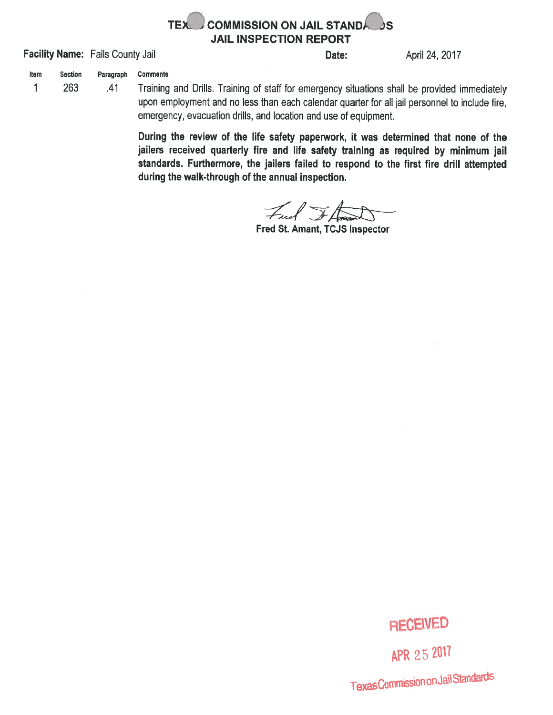

Facility Name: Falls County Jail **Example 24, 2017** Date: April 24, 2017

Item Section Paragraph Comments

 $\mathbf{1}$ 

<sup>263</sup> .41 Training and Drills. Training of staff for emergency situations shall be provided immediately upon employment and no less than each calendar quarter for all jail personnel to include fire, emergency, evacuation drills, and location and use of equipment.

> During the review of the life safety paperwork, it was determined that none of the jailers received quarterly fire and life safety training as required by minimum jail standards. Furthermore, the jailers failed to respon<sup>d</sup> to the first fire drill attempted during the walk-through of the annual inspection.

Fuel FL

Fred St. Amant, TCJS Inspector

## RECEWED

APR 25 2017 Texas Commission on Jail Standards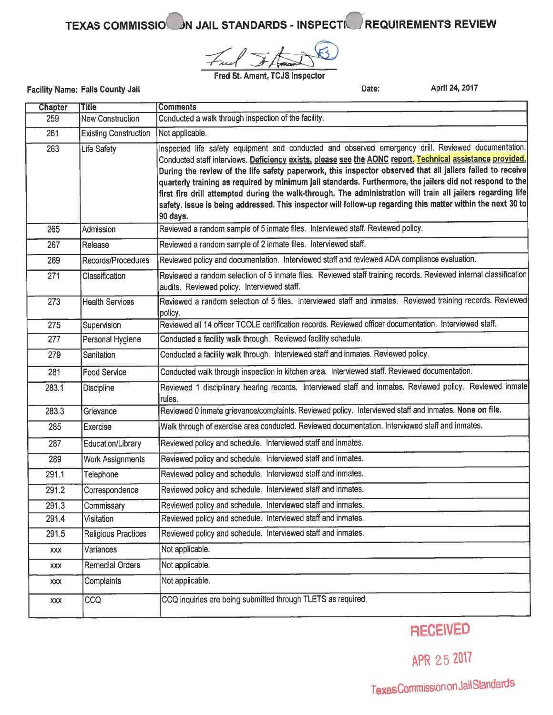### TEXAS COMMISSION IN JAIL STANDARDS - INSPECTION REQUIREMENTS REVIEW

Free  $+$  /  $\sqrt{m\omega}$ 

Fred St. Amant, TCJS Inspector

| <b>Chapter</b> | <b>Title</b>                 | <b>Comments</b>                                                                                                                                                                                                                                                                                                                                                                                                                                                                                                                                                                                                                                                                        |  |  |  |
|----------------|------------------------------|----------------------------------------------------------------------------------------------------------------------------------------------------------------------------------------------------------------------------------------------------------------------------------------------------------------------------------------------------------------------------------------------------------------------------------------------------------------------------------------------------------------------------------------------------------------------------------------------------------------------------------------------------------------------------------------|--|--|--|
| 259            | <b>New Construction</b>      | Conducted a walk through inspection of the facility.                                                                                                                                                                                                                                                                                                                                                                                                                                                                                                                                                                                                                                   |  |  |  |
| 261            | <b>Existing Construction</b> | Not applicable.                                                                                                                                                                                                                                                                                                                                                                                                                                                                                                                                                                                                                                                                        |  |  |  |
| 263            | <b>Life Safety</b>           | Inspected life safety equipment and conducted and observed emergency drill. Reviewed documentation.<br>Conducted staff interviews. Deficiency exists, please see the AONC report. Technical assistance provided.<br>During the review of the life safety paperwork, this inspector observed that all jailers failed to receive<br>quarterly training as required by minimum jail standards. Furthermore, the jailers did not respond to the<br>first fire drill attempted during the walk-through. The administration will train all jailers regarding life<br>safety. Issue is being addressed. This inspector will follow-up regarding this matter within the next 30 to<br>90 days. |  |  |  |
| 265            | Admission                    | Reviewed a random sample of 5 inmate files. Interviewed staff. Reviewed policy.                                                                                                                                                                                                                                                                                                                                                                                                                                                                                                                                                                                                        |  |  |  |
| 267            | Release                      | Reviewed a random sample of 2 inmate files. Interviewed staff.                                                                                                                                                                                                                                                                                                                                                                                                                                                                                                                                                                                                                         |  |  |  |
| 269            | Records/Procedures           | Reviewed policy and documentation. Interviewed staff and reviewed ADA compliance evaluation.                                                                                                                                                                                                                                                                                                                                                                                                                                                                                                                                                                                           |  |  |  |
| 271            | Classification               | Reviewed a random selection of 5 inmate files. Reviewed staff training records. Reviewed internal classification<br>audits. Reviewed policy. Interviewed staff.                                                                                                                                                                                                                                                                                                                                                                                                                                                                                                                        |  |  |  |
| 273            | <b>Health Services</b>       | Reviewed a random selection of 5 files. Interviewed staff and inmates. Reviewed training records. Reviewed<br>policy.                                                                                                                                                                                                                                                                                                                                                                                                                                                                                                                                                                  |  |  |  |
| 275            | Supervision                  | Reviewed all 14 officer TCOLE certification records. Reviewed officer documentation. Interviewed staff.                                                                                                                                                                                                                                                                                                                                                                                                                                                                                                                                                                                |  |  |  |
| 277            | Personal Hygiene             | Conducted a facility walk through. Reviewed facility schedule.                                                                                                                                                                                                                                                                                                                                                                                                                                                                                                                                                                                                                         |  |  |  |
| 279            | Sanitation                   | Conducted a facility walk through. Interviewed staff and inmates. Reviewed policy.                                                                                                                                                                                                                                                                                                                                                                                                                                                                                                                                                                                                     |  |  |  |
| 281            | <b>Food Service</b>          | Conducted walk through inspection in kitchen area. Interviewed staff. Reviewed documentation.                                                                                                                                                                                                                                                                                                                                                                                                                                                                                                                                                                                          |  |  |  |
| 283.1          | <b>Discipline</b>            | Reviewed 1 disciplinary hearing records. Interviewed staff and inmates. Reviewed policy. Reviewed inmate<br>rules.                                                                                                                                                                                                                                                                                                                                                                                                                                                                                                                                                                     |  |  |  |
| 283.3          | Grievance                    | Reviewed 0 inmate grievance/complaints. Reviewed policy. Interviewed staff and inmates. None on file.                                                                                                                                                                                                                                                                                                                                                                                                                                                                                                                                                                                  |  |  |  |
| 285            | Exercise                     | Walk through of exercise area conducted. Reviewed documentation. Interviewed staff and inmates.                                                                                                                                                                                                                                                                                                                                                                                                                                                                                                                                                                                        |  |  |  |
| 287            | Education/Library            | Reviewed policy and schedule. Interviewed staff and inmates.                                                                                                                                                                                                                                                                                                                                                                                                                                                                                                                                                                                                                           |  |  |  |
| 289            | <b>Work Assignments</b>      | Reviewed policy and schedule. Interviewed staff and inmates.                                                                                                                                                                                                                                                                                                                                                                                                                                                                                                                                                                                                                           |  |  |  |
| 291.1          | Telephone                    | Reviewed policy and schedule. Interviewed staff and inmates.                                                                                                                                                                                                                                                                                                                                                                                                                                                                                                                                                                                                                           |  |  |  |
| 291.2          | Correspondence               | Reviewed policy and schedule. Interviewed staff and inmates.                                                                                                                                                                                                                                                                                                                                                                                                                                                                                                                                                                                                                           |  |  |  |
| 291.3          | Commissary                   | Reviewed policy and schedule. Interviewed staff and inmates.                                                                                                                                                                                                                                                                                                                                                                                                                                                                                                                                                                                                                           |  |  |  |
| 291.4          | Visitation                   | Reviewed policy and schedule. Interviewed staff and inmates.                                                                                                                                                                                                                                                                                                                                                                                                                                                                                                                                                                                                                           |  |  |  |
| 291.5          | <b>Religious Practices</b>   | Reviewed policy and schedule. Interviewed staff and inmates.                                                                                                                                                                                                                                                                                                                                                                                                                                                                                                                                                                                                                           |  |  |  |
| XXX            | Variances                    | Not applicable.                                                                                                                                                                                                                                                                                                                                                                                                                                                                                                                                                                                                                                                                        |  |  |  |
| <b>XXX</b>     | <b>Remedial Orders</b>       | Not applicable.                                                                                                                                                                                                                                                                                                                                                                                                                                                                                                                                                                                                                                                                        |  |  |  |
| <b>XXX</b>     | Complaints                   | Not applicable.                                                                                                                                                                                                                                                                                                                                                                                                                                                                                                                                                                                                                                                                        |  |  |  |
| XXX            | CCQ                          | CCQ inquiries are being submitted through TLETS as required.                                                                                                                                                                                                                                                                                                                                                                                                                                                                                                                                                                                                                           |  |  |  |

### RECEIVED

APR 25 2017

Texas Commission on Jail Standards

Facility Name: Falls County Jail **Example 24, 2017** Cate: April 24, 2017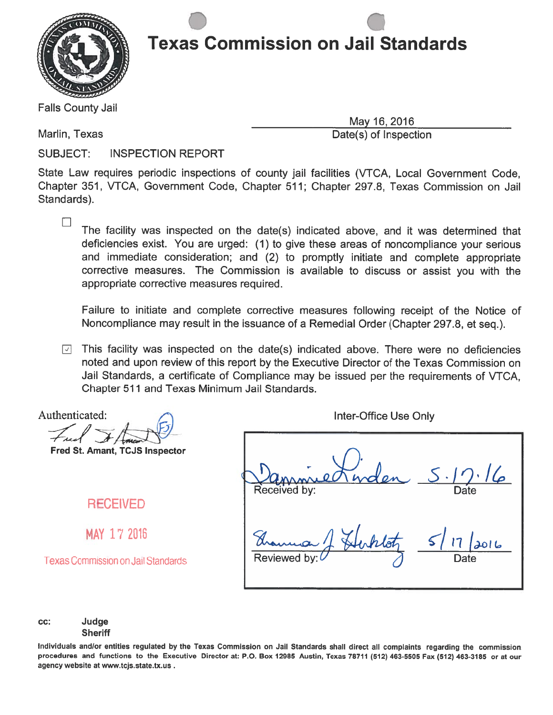

. .

Falls County Jail

May 16, 2016

Marlin, Texas **Date(s)** of Inspection

 $\Box$ 

SUBJECT: INSPECTION REPORT

State Law requires periodic inspections of county jail facilities (VTCA, Local Government Code, Chapter 351, VTCA, Government Code, Chapter 511; Chapter 297.8, Texas Commission on Jail Standards).

The facility was inspected on the date(s) indicated above, and it was determined that deficiencies exist. You are urged: (1) to <sup>g</sup>ive these areas of noncompliance your serious and immediate consideration; and (2) to promptly initiate and complete appropriate corrective measures. The Commission is available to discuss or assist you with the appropriate corrective measures required.

Failure to initiate and complete corrective measures following receipt of the Notice of Noncompliance may result in the issuance of <sup>a</sup> Remedial Order (Chapter 297.8, et seq.).

 $\Box$  This facility was inspected on the date(s) indicated above. There were no deficiencies noted and upon review of this repor<sup>t</sup> by the Executive Director of the Texas Commission on Jail Standards, <sup>a</sup> certificate of Compliance may be issued per the requirements of VTCA, Chapter 511 and Texas Minimum Jail Standards.

Authenticated: Free

Fred St. Amant, TCJS Inspector

RECEIVED

MAY 17 2016

Texas Commission on Jail Standards

Inter-Office Use Only

Date  $51$  it Received by: Reviewed by:  $\bigvee$  at  $\bigwedge$  Date

cc: Judge **Sheriff** 

Individuals and/or entities regulated by the Texas Commission on Jail Standards shall direct all complaints regarding the commission procedures and functions to the Executive Director at: P.O. Box <sup>12985</sup> Austin, Texas <sup>78711</sup> (512) 463-5505 Fax (512) 463-3185 or at our agency website at www.tcjs.state.tx.us.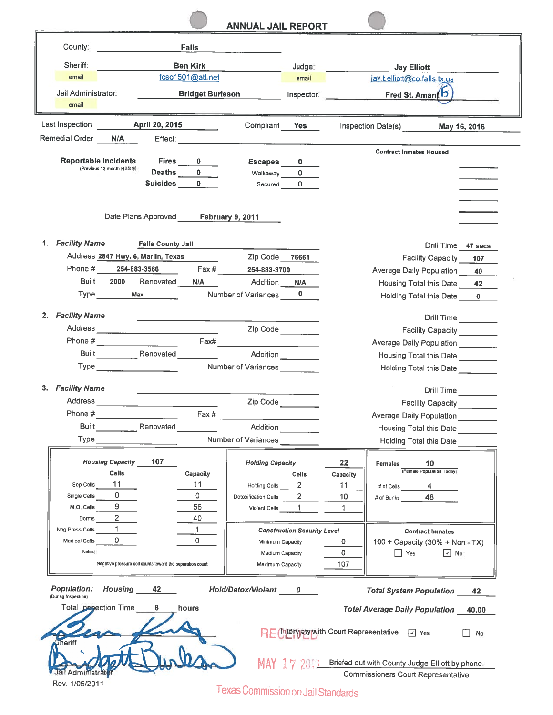#### ANNUAL JAIL REPORT

| County:                                   |                                                            |                                                                                                                                                                                                                                | <b>Falls</b>                                            |                                     |                                    |              |                                                             |                            |              |
|-------------------------------------------|------------------------------------------------------------|--------------------------------------------------------------------------------------------------------------------------------------------------------------------------------------------------------------------------------|---------------------------------------------------------|-------------------------------------|------------------------------------|--------------|-------------------------------------------------------------|----------------------------|--------------|
|                                           |                                                            |                                                                                                                                                                                                                                |                                                         |                                     |                                    |              |                                                             |                            |              |
| Sheriff:                                  |                                                            |                                                                                                                                                                                                                                | <b>Ben Kirk</b>                                         |                                     | Judge:                             |              | <b>Jay Elliott</b>                                          |                            |              |
| email                                     |                                                            |                                                                                                                                                                                                                                | fcso1501@att.net                                        |                                     | email                              |              | jay.t.elliott@co.falls.tx.us                                |                            |              |
| Jail Administrator:<br>email              |                                                            |                                                                                                                                                                                                                                | <b>Bridget Burleson</b>                                 |                                     | Inspector:                         |              | Fred St. Amant 5                                            |                            |              |
| Last Inspection                           |                                                            | <b>April 20, 2015</b>                                                                                                                                                                                                          |                                                         | Compliant                           | Yes                                |              | Inspection Date(s)                                          |                            | May 16, 2016 |
| Remedial Order                            | N/A                                                        |                                                                                                                                                                                                                                | Effect: <b>Effect:</b>                                  |                                     |                                    |              |                                                             |                            |              |
|                                           |                                                            |                                                                                                                                                                                                                                |                                                         |                                     |                                    |              | <b>Contract Inmates Housed</b>                              |                            |              |
|                                           | <b>Reportable Incidents</b><br>(Previous 12 month History) | <b>Fires</b>                                                                                                                                                                                                                   | $\mathbf{0}$<br>Deaths $\begin{array}{c} 0 \end{array}$ | Escapes                             | $\mathbf{0}$                       |              |                                                             |                            |              |
|                                           |                                                            | Suicides 0                                                                                                                                                                                                                     |                                                         | Walkaway                            | $\circ$<br>Secured 0               |              |                                                             |                            |              |
|                                           |                                                            |                                                                                                                                                                                                                                |                                                         |                                     |                                    |              |                                                             |                            |              |
|                                           |                                                            | Date Plans Approved                                                                                                                                                                                                            |                                                         | <b>February 9, 2011</b>             |                                    |              |                                                             |                            |              |
|                                           |                                                            |                                                                                                                                                                                                                                |                                                         |                                     |                                    |              |                                                             |                            |              |
| 1. Facility Name                          |                                                            | <b>Falls County Jail</b>                                                                                                                                                                                                       |                                                         |                                     |                                    |              |                                                             | Drill Time 47 secs         |              |
|                                           |                                                            | Address 2847 Hwy. 6, Marlin, Texas                                                                                                                                                                                             |                                                         | Zip Code                            | 76661                              |              |                                                             | <b>Facility Capacity</b>   | 107          |
| Phone #                                   |                                                            | 254-883-3566                                                                                                                                                                                                                   |                                                         | Fax # 254-883-3700                  |                                    |              | <b>Average Daily Population</b>                             |                            | 40           |
|                                           |                                                            | Built 2000 Renovated                                                                                                                                                                                                           | <b>N/A</b>                                              | Addition                            | <b>N/A</b>                         |              | Housing Total this Date 42                                  |                            |              |
|                                           |                                                            | Type Max                                                                                                                                                                                                                       |                                                         | Number of Variances                 | $\mathbf{0}$                       |              | Holding Total this Date                                     |                            | $\mathbf{0}$ |
|                                           |                                                            |                                                                                                                                                                                                                                |                                                         |                                     |                                    |              |                                                             |                            |              |
| 2. Facility Name                          |                                                            |                                                                                                                                                                                                                                |                                                         |                                     |                                    |              |                                                             | Drill Time                 |              |
|                                           |                                                            |                                                                                                                                                                                                                                |                                                         |                                     | Zip Code                           |              |                                                             | Facility Capacity ________ |              |
|                                           |                                                            | Phone # $\qquad \qquad \qquad$ $\qquad \qquad$ $\qquad \qquad$ $\qquad \qquad$                                                                                                                                                 | Fax#                                                    |                                     |                                    |              | Average Daily Population                                    |                            |              |
|                                           |                                                            | Built Renovated                                                                                                                                                                                                                |                                                         | Addition                            |                                    |              | Housing Total this Date                                     |                            |              |
|                                           |                                                            | Type and the contract of the contract of the contract of the contract of the contract of the contract of the contract of the contract of the contract of the contract of the contract of the contract of the contract of the c |                                                         | Number of Variances                 |                                    |              | <b>Holding Total this Date</b>                              |                            |              |
| <b>Facility Name</b><br>3.                |                                                            |                                                                                                                                                                                                                                |                                                         |                                     |                                    |              |                                                             | Drill Time                 |              |
| Address                                   |                                                            |                                                                                                                                                                                                                                |                                                         | Zip Code                            |                                    |              |                                                             | Facility Capacity          |              |
| Phone #                                   |                                                            |                                                                                                                                                                                                                                | Fax #                                                   |                                     |                                    |              | Average Daily Population                                    |                            |              |
|                                           |                                                            | <b>Built</b> Renovated                                                                                                                                                                                                         |                                                         | Addition                            |                                    |              | <b>Housing Total this Date</b>                              |                            |              |
| Type                                      |                                                            |                                                                                                                                                                                                                                |                                                         | Number of Variances                 |                                    |              | <b>Holding Total this Date</b>                              |                            |              |
|                                           |                                                            |                                                                                                                                                                                                                                |                                                         |                                     |                                    |              |                                                             |                            |              |
|                                           | <b>Housing Capacity</b>                                    | 107                                                                                                                                                                                                                            |                                                         | <b>Holding Capacity</b>             |                                    | 22           | <b>Females</b>                                              | 10                         |              |
|                                           | Cells                                                      |                                                                                                                                                                                                                                | Capacity                                                |                                     | <b>Cells</b>                       | Capacity     |                                                             | (Female Population Today)  |              |
| Sep Cells                                 | 11                                                         |                                                                                                                                                                                                                                | 11                                                      | <b>Holding Cells</b>                | $\mathbf{2}$                       | 11           | # of Cells 4                                                |                            |              |
| Single Cells                              | 0                                                          |                                                                                                                                                                                                                                | 0                                                       | Detoxification Cells                | $2^{\circ}$                        | 10           | # of Bunks                                                  | 48                         |              |
| M.O. Cells                                | 9                                                          |                                                                                                                                                                                                                                | 56                                                      | Violent Cells                       | $\mathbf{1}$                       | $\mathbf{1}$ |                                                             |                            |              |
| Dorms                                     | 2 <sup>1</sup><br>$\mathbf{1}$                             |                                                                                                                                                                                                                                | 40                                                      |                                     |                                    |              |                                                             |                            |              |
| Neg Press Cells<br>Medical Cells          | $\Omega$                                                   |                                                                                                                                                                                                                                | 1<br>0                                                  |                                     | <b>Construction Security Level</b> |              |                                                             | <b>Contract Inmates</b>    |              |
| Notes:                                    |                                                            |                                                                                                                                                                                                                                |                                                         | Minimum Capacity                    |                                    | 0<br>0       | 100 + Capacity (30% + Non - TX)<br>$\Box$ Yes               | $\boxed{3}$ No             |              |
|                                           |                                                            | Negative pressure cell counts toward the separation count.                                                                                                                                                                     |                                                         | Medium Capacity<br>Maximum Capacity |                                    | 107          |                                                             |                            |              |
|                                           |                                                            |                                                                                                                                                                                                                                |                                                         |                                     |                                    |              |                                                             |                            |              |
| <b>Population:</b><br>(During Inspection) | Housing                                                    | 42                                                                                                                                                                                                                             |                                                         | Hold/Detox/Violent 0                |                                    |              | <b>Total System Population</b>                              |                            | 42           |
|                                           | Total Inspection Time                                      | 8                                                                                                                                                                                                                              | hours                                                   |                                     |                                    |              | <b>Total Average Daily Population</b>                       |                            | 40.00        |
|                                           |                                                            |                                                                                                                                                                                                                                |                                                         |                                     |                                    |              | RE (Interview with Court Representative [J] Yes             |                            | <b>No</b>    |
| <b>Sheriff</b>                            |                                                            |                                                                                                                                                                                                                                |                                                         |                                     |                                    |              | MAY 17 2011 Briefed out with County Judge Elliott by phone. |                            |              |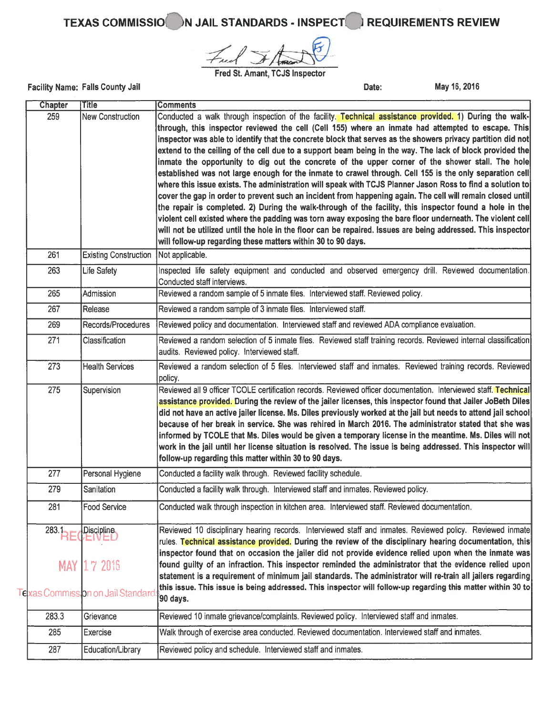# TEXAS COMMISSIO<sup>N</sup> JAIL STANDARDS - INSPECT<sup>N</sup> REQUIREMENTS REVIEW

/ of formed

Fred St. Amant, TCJS Inspector

Facility Name: Falls County Jail **Date:** May 16, 2016

| <b>Chapter</b> | <b>Title</b>                               | <b>Comments</b>                                                                                                                                                                                                                                                                                                                                                                                                                                                                                                                                                                                                                                                                                                                                                                                                                                                                                                                                                                                                                                                                                                                                                                                                                                                                            |
|----------------|--------------------------------------------|--------------------------------------------------------------------------------------------------------------------------------------------------------------------------------------------------------------------------------------------------------------------------------------------------------------------------------------------------------------------------------------------------------------------------------------------------------------------------------------------------------------------------------------------------------------------------------------------------------------------------------------------------------------------------------------------------------------------------------------------------------------------------------------------------------------------------------------------------------------------------------------------------------------------------------------------------------------------------------------------------------------------------------------------------------------------------------------------------------------------------------------------------------------------------------------------------------------------------------------------------------------------------------------------|
| 259            | <b>New Construction</b>                    | Conducted a walk through inspection of the facility. Technical assistance provided. 1) During the walk-<br>through, this inspector reviewed the cell (Cell 155) where an inmate had attempted to escape. This<br>inspector was able to identify that the concrete block that serves as the showers privacy partition did not<br>extend to the ceiling of the cell due to a support beam being in the way. The lack of block provided the<br>inmate the opportunity to dig out the concrete of the upper corner of the shower stall. The hole<br>established was not large enough for the inmate to crawel through. Cell 155 is the only separation cell<br>where this issue exists. The administration will speak with TCJS Planner Jason Ross to find a solution to<br>cover the gap in order to prevent such an incident from happening again. The cell will remain closed until<br>the repair is completed. 2) During the walk-through of the facility, this inspector found a hole in the<br>violent cell existed where the padding was torn away exposing the bare floor underneath. The violent cell<br>will not be utilized until the hole in the floor can be repaired. Issues are being addressed. This inspector<br>will follow-up regarding these matters within 30 to 90 days. |
| 261            | <b>Existing Construction</b>               | Not applicable.                                                                                                                                                                                                                                                                                                                                                                                                                                                                                                                                                                                                                                                                                                                                                                                                                                                                                                                                                                                                                                                                                                                                                                                                                                                                            |
| 263            | Life Safety                                | Inspected life safety equipment and conducted and observed emergency drill. Reviewed documentation.<br>Conducted staff interviews.                                                                                                                                                                                                                                                                                                                                                                                                                                                                                                                                                                                                                                                                                                                                                                                                                                                                                                                                                                                                                                                                                                                                                         |
| 265            | Admission                                  | Reviewed a random sample of 5 inmate files. Interviewed staff. Reviewed policy.                                                                                                                                                                                                                                                                                                                                                                                                                                                                                                                                                                                                                                                                                                                                                                                                                                                                                                                                                                                                                                                                                                                                                                                                            |
| 267            | Release                                    | Reviewed a random sample of 3 inmate files. Interviewed staff.                                                                                                                                                                                                                                                                                                                                                                                                                                                                                                                                                                                                                                                                                                                                                                                                                                                                                                                                                                                                                                                                                                                                                                                                                             |
| 269            | Records/Procedures                         | Reviewed policy and documentation. Interviewed staff and reviewed ADA compliance evaluation.                                                                                                                                                                                                                                                                                                                                                                                                                                                                                                                                                                                                                                                                                                                                                                                                                                                                                                                                                                                                                                                                                                                                                                                               |
| 271            | Classification                             | Reviewed a random selection of 5 inmate files. Reviewed staff training records. Reviewed internal classification<br>audits. Reviewed policy. Interviewed staff.                                                                                                                                                                                                                                                                                                                                                                                                                                                                                                                                                                                                                                                                                                                                                                                                                                                                                                                                                                                                                                                                                                                            |
| 273            | <b>Health Services</b>                     | Reviewed a random selection of 5 files. Interviewed staff and inmates. Reviewed training records. Reviewed<br>policy.                                                                                                                                                                                                                                                                                                                                                                                                                                                                                                                                                                                                                                                                                                                                                                                                                                                                                                                                                                                                                                                                                                                                                                      |
| 275            | Supervision                                | Reviewed all 9 officer TCOLE certification records. Reviewed officer documentation. Interviewed staff. Technical<br>assistance provided. During the review of the jailer licenses, this inspector found that Jailer JoBeth Diles<br>did not have an active jailer license. Ms. Diles previously worked at the jail but needs to attend jail school<br>because of her break in service. She was rehired in March 2016. The administrator stated that she was<br>informed by TCOLE that Ms. Diles would be given a temporary license in the meantime. Ms. Diles will not<br>work in the jail until her license situation is resolved. The issue is being addressed. This inspector will<br>follow-up regarding this matter within 30 to 90 days.                                                                                                                                                                                                                                                                                                                                                                                                                                                                                                                                             |
| 277            | Personal Hygiene                           | Conducted a facility walk through. Reviewed facility schedule.                                                                                                                                                                                                                                                                                                                                                                                                                                                                                                                                                                                                                                                                                                                                                                                                                                                                                                                                                                                                                                                                                                                                                                                                                             |
| 279            | Sanitation                                 | Conducted a facility walk through. Interviewed staff and inmates. Reviewed policy.                                                                                                                                                                                                                                                                                                                                                                                                                                                                                                                                                                                                                                                                                                                                                                                                                                                                                                                                                                                                                                                                                                                                                                                                         |
| 281            | <b>Food Service</b>                        | Conducted walk through inspection in kitchen area. Interviewed staff. Reviewed documentation.                                                                                                                                                                                                                                                                                                                                                                                                                                                                                                                                                                                                                                                                                                                                                                                                                                                                                                                                                                                                                                                                                                                                                                                              |
| $283.$ HE      | Discipline                                 | Reviewed 10 disciplinary hearing records. Interviewed staff and inmates. Reviewed policy. Reviewed inmate<br>rules. T <mark>echnical assistance provided.</mark> During the review of the disciplinary hearing documentation, this<br>inspector found that on occasion the jailer did not provide evidence relied upon when the inmate was                                                                                                                                                                                                                                                                                                                                                                                                                                                                                                                                                                                                                                                                                                                                                                                                                                                                                                                                                 |
| <b>MAY</b>     | 172016<br>Exas Commission on Jail Standard | found guilty of an infraction. This inspector reminded the administrator that the evidence relied upon<br>statement is a requirement of minimum jail standards. The administrator will re-train all jailers regarding<br>this issue. This issue is being addressed. This inspector will follow-up regarding this matter within 30 to<br>90 days.                                                                                                                                                                                                                                                                                                                                                                                                                                                                                                                                                                                                                                                                                                                                                                                                                                                                                                                                           |
| 283.3          | Grievance                                  | Reviewed 10 inmate grievance/complaints. Reviewed policy. Interviewed staff and inmates.                                                                                                                                                                                                                                                                                                                                                                                                                                                                                                                                                                                                                                                                                                                                                                                                                                                                                                                                                                                                                                                                                                                                                                                                   |
| 285            | <b>Exercise</b>                            | Walk through of exercise area conducted. Reviewed documentation. Interviewed staff and inmates.                                                                                                                                                                                                                                                                                                                                                                                                                                                                                                                                                                                                                                                                                                                                                                                                                                                                                                                                                                                                                                                                                                                                                                                            |
| 287            | Education/Library                          | Reviewed policy and schedule. Interviewed staff and inmates.                                                                                                                                                                                                                                                                                                                                                                                                                                                                                                                                                                                                                                                                                                                                                                                                                                                                                                                                                                                                                                                                                                                                                                                                                               |
|                |                                            |                                                                                                                                                                                                                                                                                                                                                                                                                                                                                                                                                                                                                                                                                                                                                                                                                                                                                                                                                                                                                                                                                                                                                                                                                                                                                            |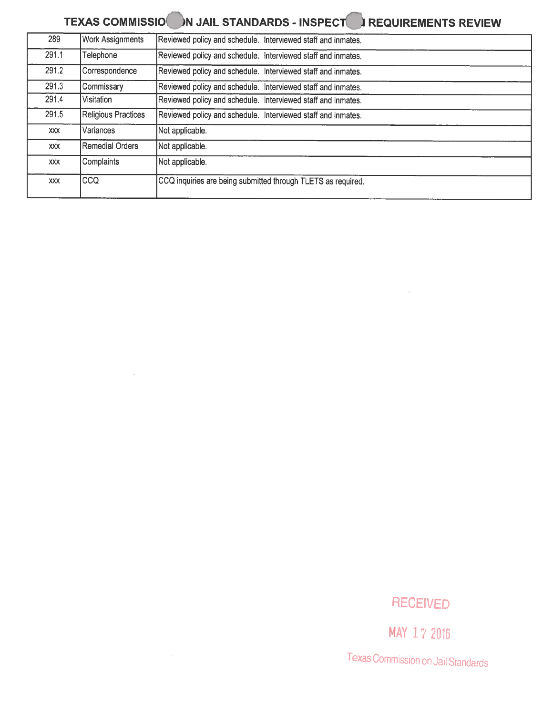### TEXAS COMMISSION IN JAIL STANDARDS - INSPECT IN REQUIREMENTS REVIEW

| 289        | <b>Work Assignments</b> | Reviewed policy and schedule. Interviewed staff and inmates. |
|------------|-------------------------|--------------------------------------------------------------|
| 291.1      | Telephone               | Reviewed policy and schedule. Interviewed staff and inmates. |
| 291.2      | Correspondence          | Reviewed policy and schedule. Interviewed staff and inmates. |
| 291.3      | Commissary              | Reviewed policy and schedule. Interviewed staff and inmates. |
| 291.4      | Visitation              | Reviewed policy and schedule. Interviewed staff and inmates. |
| 291.5      | Religious Practices     | Reviewed policy and schedule. Interviewed staff and inmates. |
| <b>XXX</b> | Variances               | Not applicable.                                              |
| <b>XXX</b> | Remedial Orders         | Not applicable.                                              |
| <b>XXX</b> | Complaints              | Not applicable.                                              |
| <b>XXX</b> | CCQ                     | CCQ inquiries are being submitted through TLETS as required. |

 $\alpha$ 

#### RECEIVED

MAY 17 2016

Texas CommissIon on Jail Standards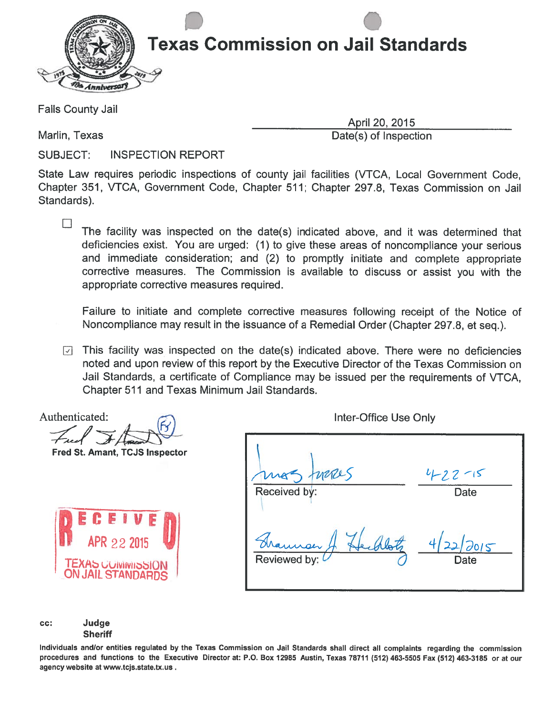

Falls County Jail

Marlin, Texas **Date(s)** of Inspection

 $\Box$ 

April 20, 2015

SUBJECT: INSPECTION REPORT

State Law requires periodic inspections of county jail facilities (VTCA, Local Government Code, Chapter 351, VTCA, Government Code, Chapter 511; Chapter 297.8, Texas Commission on Jail Standards).

The facility was inspected on the date(s) indicated above, and it was determined that deficiencies exist. You are urged: (1) to <sup>g</sup>ive these areas of noncompliance your serious and immediate consideration; and (2) to promptly initiate and complete appropriate corrective measures. The Commission is available to discuss or assist you with the appropriate corrective measures required.

Failure to initiate and complete corrective measures following receipt of the Notice of Noncompliance may result in the issuance of <sup>a</sup> Remedial Order (Chapter 297.8, et seq.).

 $\Box$  This facility was inspected on the date(s) indicated above. There were no deficiencies noted and upon review of this repor<sup>t</sup> by the Executive Director of the Texas Commission on Jail Standards, <sup>a</sup> certificate of Compliance may be issued per the requirements of VTCA, Chapter 511 and Texas Minimum Jail Standards.

Authenticated:  $\bigcirc$ Fied  $\left| \begin{array}{c} \end{array} \right|$ 

Fred St. Amant, TCJS Inspector



|                       | $4 - 22 - 15$        |
|-----------------------|----------------------|
| Received by:          | Date                 |
| maner<br>Reviewed by: | 4/2<br>12015<br>Date |

cc: Judge **Sheriff** 

Individuals andlor entities regulated by the Texas Commission on Jail Standards shall direct all complaints regarding the commission procedures and functions to the Executive Director at: P.O. Box 12985 Austin, Texas 78711 (512) 463-5505 Fax (512) 463-3185 or at our agency website at www.tcjs.state.tx.us.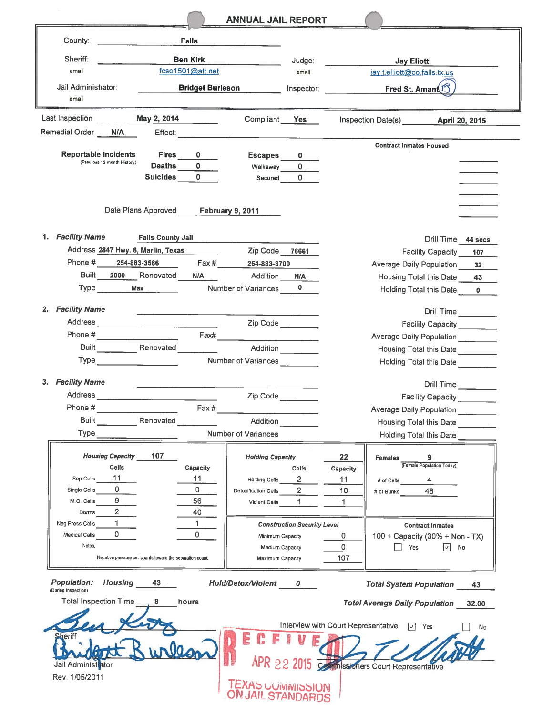|                                                                                              | <b>ANNUAL JAIL REPORT</b>                                                            |                                     |                                                            |                    |
|----------------------------------------------------------------------------------------------|--------------------------------------------------------------------------------------|-------------------------------------|------------------------------------------------------------|--------------------|
| County:<br>Falls                                                                             |                                                                                      |                                     |                                                            |                    |
| Sheriff:<br><b>Ben Kirk</b>                                                                  |                                                                                      | Judge:                              |                                                            |                    |
| fcso1501@att.net<br>email                                                                    |                                                                                      | email                               | <b>Jay Eliott</b><br>jay.t.elliott@co.falls.tx.us          |                    |
| Jail Administrator:                                                                          | <b>Bridget Burleson</b>                                                              | Inspector:                          | Fred St. Amant <sup>3</sup>                                |                    |
| email                                                                                        |                                                                                      |                                     |                                                            |                    |
| Last Inspection<br>May 2, 2014                                                               | Compliant<br><b>Yes</b>                                                              |                                     | Inspection Date(s) April 20, 2015                          |                    |
| Remedial Order<br>N/A<br>Effect:                                                             |                                                                                      |                                     |                                                            |                    |
|                                                                                              |                                                                                      |                                     | <b>Contract Inmates Housed</b>                             |                    |
| <b>Reportable Incidents</b><br><b>Fires</b><br>(Previous 12 month History)                   | Escapes<br>$\mathbf{0}$                                                              |                                     |                                                            |                    |
| Deaths<br><b>Suicides</b>                                                                    | $\mathbf{0}$<br>0<br>Walkaway<br>$\Omega$<br>$\Omega$                                |                                     |                                                            |                    |
|                                                                                              | Secured                                                                              |                                     |                                                            |                    |
|                                                                                              |                                                                                      |                                     |                                                            |                    |
| Date Plans Approved February 9, 2011                                                         |                                                                                      |                                     |                                                            |                    |
|                                                                                              |                                                                                      |                                     |                                                            |                    |
| <b>Facility Name</b><br>1.<br><b>Falls County Jail</b><br>Address 2847 Hwy. 6, Marlin, Texas |                                                                                      |                                     |                                                            | Drill Time 44 secs |
| Phone #<br>254-883-3566                                                                      | Zip Code 76661<br>Fax # 254-883-3700                                                 |                                     | <b>Facility Capacity</b>                                   | 107                |
| Built<br>2000<br>Renovated                                                                   | Addition<br>N/A<br>N/A                                                               |                                     | <b>Average Daily Population</b><br>Housing Total this Date | 32<br>43           |
| <b>Max</b><br><b>Type</b>                                                                    | Number of Variances                                                                  |                                     | <b>Holding Total this Date</b>                             |                    |
|                                                                                              |                                                                                      |                                     |                                                            |                    |
| <b>Facility Name</b><br>2.                                                                   |                                                                                      |                                     |                                                            | Drill Time         |
|                                                                                              | Zip Code                                                                             |                                     |                                                            | Facility Capacity  |
| Phone #                                                                                      | Fax#                                                                                 |                                     | Average Daily Population _______                           |                    |
| <b>Built</b> Renovated                                                                       | <b>Addition</b>                                                                      |                                     | Housing Total this Date                                    |                    |
|                                                                                              | Number of Variances                                                                  |                                     | <b>Holding Total this Date</b>                             |                    |
| 3. Facility Name                                                                             |                                                                                      |                                     |                                                            | Drill Time         |
| <b>Address</b>                                                                               | Zip Code                                                                             |                                     | <b>Facility Capacity</b>                                   |                    |
| Phone #                                                                                      | Fax#                                                                                 |                                     | Average Daily Population ________                          |                    |
| <b>Built</b><br>Renovated                                                                    | Addition                                                                             |                                     | <b>Housing Total this Date</b>                             |                    |
| Type                                                                                         | Number of Variances                                                                  |                                     | Holding Total this Date                                    |                    |
| <b>Housing Capacity</b><br>107                                                               | <b>Holding Capacity</b>                                                              | 22                                  | Females<br>(Female Population Today)                       |                    |
| Cells<br>11                                                                                  | Capacity<br><b>Cells</b>                                                             | Capacity                            |                                                            |                    |
| Sep Cells<br>0<br>Single Cells                                                               | 11<br>$\overline{2}$<br>Holding Cells<br>0<br>$\overline{2}$<br>Detoxification Cells | 11<br>10                            | 4<br># of Cells<br>48<br># of Bunks                        |                    |
| 9<br>M.O. Cells                                                                              | 56<br>$\mathbf{1}$<br>Violent Cells                                                  | 1                                   |                                                            |                    |
| $\overline{2}$<br>Dorms                                                                      | 40                                                                                   |                                     |                                                            |                    |
| $\mathbf{1}$<br>Neg Press Cells                                                              | 1.<br><b>Construction Security Level</b>                                             |                                     | <b>Contract Inmates</b>                                    |                    |
| 0<br>Medical Cells<br>Notes:                                                                 | 0<br>Minimum Capacity                                                                | 0                                   | 100 + Capacity (30% + Non - TX)                            |                    |
| Negative pressure cell counts toward the separation count.                                   | Medium Capacity<br>Maximum Capacity                                                  | 0<br>107                            | Yes                                                        | $\boxed{\vee}$ No  |
|                                                                                              |                                                                                      |                                     |                                                            |                    |
| <b>Population:</b><br>Housing 43<br>(During Inspection)                                      | Hold/Detox/Violent 0                                                                 |                                     | <b>Total System Population</b>                             | 43                 |
| Total Inspection Time<br>8<br>hours                                                          |                                                                                      |                                     | <b>Total Average Daily Population 32.00</b>                |                    |
|                                                                                              |                                                                                      | Interview with Court Representative | $\sqrt{1}$ Yes                                             | No                 |
|                                                                                              | F                                                                                    |                                     |                                                            |                    |
| Jail Administrator                                                                           |                                                                                      |                                     | APR 22 2015 Complesioners Court Representative             |                    |
| Rev. 1/05/2011                                                                               |                                                                                      |                                     |                                                            |                    |
|                                                                                              | <b>TEXAS COMMINISSION</b><br>ON JAIL STANDARDS                                       |                                     |                                                            |                    |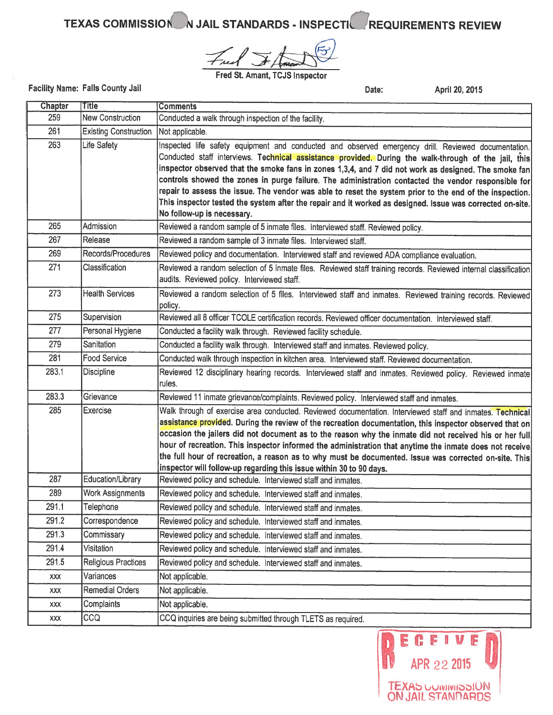TEXAS COMMISSION N JAIL STANDARDS - INSPECTIC REQUIREMENTS REVIEW

Fred St. Amant, TCJS Inspector

Facility Name: Falls County Jail

Date: April 20, 2015

| Chapter | Title                        | <b>Comments</b>                                                                                                                                                                                                                                                                                                                                                                                                                                                                                                                                                                                                                                                                  |
|---------|------------------------------|----------------------------------------------------------------------------------------------------------------------------------------------------------------------------------------------------------------------------------------------------------------------------------------------------------------------------------------------------------------------------------------------------------------------------------------------------------------------------------------------------------------------------------------------------------------------------------------------------------------------------------------------------------------------------------|
| 259     | <b>New Construction</b>      | Conducted a walk through inspection of the facility.                                                                                                                                                                                                                                                                                                                                                                                                                                                                                                                                                                                                                             |
| 261     | <b>Existing Construction</b> | Not applicable.                                                                                                                                                                                                                                                                                                                                                                                                                                                                                                                                                                                                                                                                  |
| 263     | Life Safety                  | Inspected life safety equipment and conducted and observed emergency drill. Reviewed documentation,<br>Conducted staff interviews. Technical assistance provided. During the walk-through of the jail, this<br>inspector observed that the smoke fans in zones 1,3,4, and 7 did not work as designed. The smoke fan<br>controls showed the zones in purge failure. The administration contacted the vendor responsible for<br>repair to assess the issue. The vendor was able to reset the system prior to the end of the inspection.<br>This inspector tested the system after the repair and it worked as designed. Issue was corrected on-site.<br>No follow-up is necessary. |
| 265     | Admission                    | Reviewed a random sample of 5 inmate files. Interviewed staff. Reviewed policy.                                                                                                                                                                                                                                                                                                                                                                                                                                                                                                                                                                                                  |
| 267     | Release                      | Reviewed a random sample of 3 inmate files. Interviewed staff.                                                                                                                                                                                                                                                                                                                                                                                                                                                                                                                                                                                                                   |
| 269     | Records/Procedures           | Reviewed policy and documentation. Interviewed staff and reviewed ADA compliance evaluation.                                                                                                                                                                                                                                                                                                                                                                                                                                                                                                                                                                                     |
| 271     | Classification               | Reviewed a random selection of 5 inmate files. Reviewed staff training records. Reviewed internal classification<br>audits. Reviewed policy. Interviewed staff.                                                                                                                                                                                                                                                                                                                                                                                                                                                                                                                  |
| 273     | <b>Health Services</b>       | Reviewed a random selection of 5 files. Interviewed staff and inmates. Reviewed training records. Reviewed<br>policy.                                                                                                                                                                                                                                                                                                                                                                                                                                                                                                                                                            |
| 275     | Supervision                  | Reviewed all 8 officer TCOLE certification records. Reviewed officer documentation. Interviewed staff.                                                                                                                                                                                                                                                                                                                                                                                                                                                                                                                                                                           |
| 277     | Personal Hygiene             | Conducted a facility walk through. Reviewed facility schedule.                                                                                                                                                                                                                                                                                                                                                                                                                                                                                                                                                                                                                   |
| 279     | Sanitation                   | Conducted a facility walk through. Interviewed staff and inmates. Reviewed policy.                                                                                                                                                                                                                                                                                                                                                                                                                                                                                                                                                                                               |
| 281     | <b>Food Service</b>          | Conducted walk through inspection in kitchen area. Interviewed staff. Reviewed documentation.                                                                                                                                                                                                                                                                                                                                                                                                                                                                                                                                                                                    |
| 283.1   | <b>Discipline</b>            | Reviewed 12 disciplinary hearing records. Interviewed staff and inmates. Reviewed policy. Reviewed inmate<br>rules.                                                                                                                                                                                                                                                                                                                                                                                                                                                                                                                                                              |
| 283.3   | Grievance                    | Reviewed 11 inmate grievance/complaints. Reviewed policy. Interviewed staff and inmates.                                                                                                                                                                                                                                                                                                                                                                                                                                                                                                                                                                                         |
| 285     | <b>Exercise</b>              | Walk through of exercise area conducted. Reviewed documentation. Interviewed staff and inmates. Technical<br>assistance provided. During the review of the recreation documentation, this inspector observed that on<br>occasion the jailers did not document as to the reason why the inmate did not received his or her full<br>hour of recreation. This inspector informed the administration that anytime the inmate does not receive<br>the full hour of recreation, a reason as to why must be documented. Issue was corrected on-site. This<br>inspector will follow-up regarding this issue within 30 to 90 days.                                                        |
| 287     | Education/Library            | Reviewed policy and schedule. Interviewed staff and inmates.                                                                                                                                                                                                                                                                                                                                                                                                                                                                                                                                                                                                                     |
| 289     | <b>Work Assignments</b>      | Reviewed policy and schedule. Interviewed staff and inmates.                                                                                                                                                                                                                                                                                                                                                                                                                                                                                                                                                                                                                     |
| 291.1   | Telephone                    | Reviewed policy and schedule. Interviewed staff and inmates.                                                                                                                                                                                                                                                                                                                                                                                                                                                                                                                                                                                                                     |
| 291.2   | Correspondence               | Reviewed policy and schedule. Interviewed staff and inmates.                                                                                                                                                                                                                                                                                                                                                                                                                                                                                                                                                                                                                     |
| 291.3   | Commissary                   | Reviewed policy and schedule. Interviewed staff and inmates.                                                                                                                                                                                                                                                                                                                                                                                                                                                                                                                                                                                                                     |
| 291.4   | Visitation                   | Reviewed policy and schedule. Interviewed staff and inmates.                                                                                                                                                                                                                                                                                                                                                                                                                                                                                                                                                                                                                     |
| 291.5   | <b>Religious Practices</b>   | Reviewed policy and schedule. Interviewed staff and inmates.                                                                                                                                                                                                                                                                                                                                                                                                                                                                                                                                                                                                                     |
| XXX     | Variances                    | Not applicable.                                                                                                                                                                                                                                                                                                                                                                                                                                                                                                                                                                                                                                                                  |
| XXX     | <b>Remedial Orders</b>       | Not applicable.                                                                                                                                                                                                                                                                                                                                                                                                                                                                                                                                                                                                                                                                  |
| XXX     | Complaints                   | Not applicable.                                                                                                                                                                                                                                                                                                                                                                                                                                                                                                                                                                                                                                                                  |
| XXX     | <b>CCQ</b>                   | CCQ inquiries are being submitted through TLETS as required.                                                                                                                                                                                                                                                                                                                                                                                                                                                                                                                                                                                                                     |

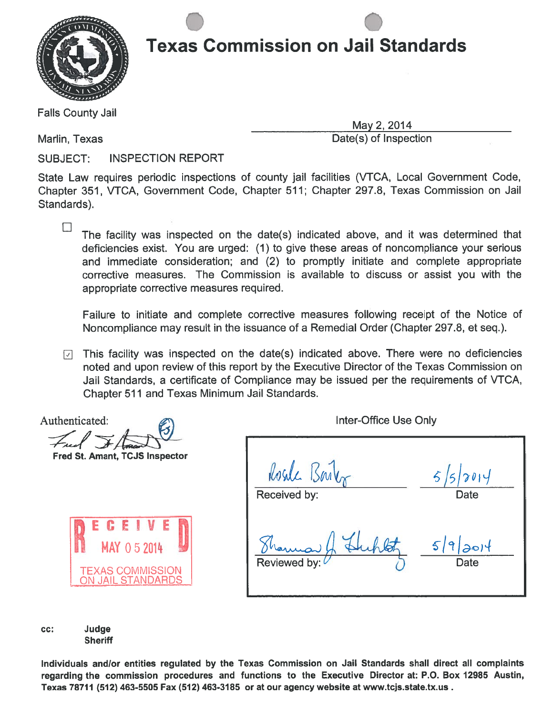

Falls County Jail

 $\Box$ 

May 2, 2014 Marlin, Texas Date(s) of Inspection

SUBJECT: INSPECTION REPORT

.

State Law requires periodic inspections of county jail facilities (VTCA, Local Government Code, Chapter 351, VTCA, Government Code, Chapter 511; Chapter 297.8, Texas Commission on Jail Standards).

The facility was inspected on the date(s) indicated above, and it was determined that deficiencies exist. You are urged: (1) to give these areas of noncompliance your serious and immediate consideration; and (2) to promptly initiate and complete appropriate corrective measures. The Commission is available to discuss or assist you with the appropriate corrective measures required.

Failure to initiate and complete corrective measures following receipt of the Notice of Noncompliance may result in the issuance of <sup>a</sup> Remedial Order (Chapter 297.8, et seq.).

 $\nabla$  This facility was inspected on the date(s) indicated above. There were no deficiencies noted and upon review of this repor<sup>t</sup> by the Executive Director of the Texas Commission on Jail Standards, <sup>a</sup> certificate of Compliance may be issued per the requirements of VTCA, Chapter 511 and Texas Minimum Jail Standards.

Authenticated:

Fred St. Amant, TCJS Inspector



| Rosde Bart   | 5/5/2014         |
|--------------|------------------|
| Received by: | Date             |
| Reviewed by: | 5 9 20 4<br>Date |

Inter-Office Use Only

cc: Judge **Sheriff** 

Individuals and/or entities regulated by the Texas Commission on Jail Standards shall direct all complaints regarding the commission procedures and functions to the Executive Director at: P.O. Box 12985 Austin, Texas 78711 (512) 463-5505 Fax (512) 463-3185 or at our agency website at www.tcjs.state.tx.us.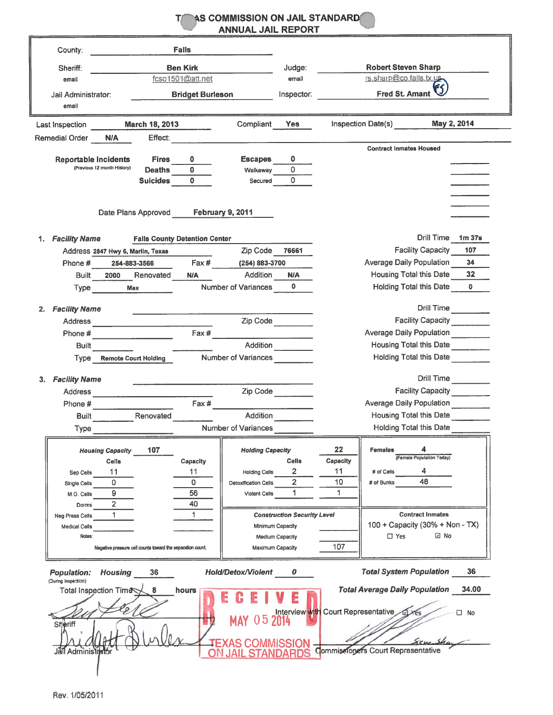|                                                                                                                                 | AS COMMISSION ON JAIL STANDARD<br><b>ANNUAL JAIL REPORT</b> |                                     |                                       |                       |
|---------------------------------------------------------------------------------------------------------------------------------|-------------------------------------------------------------|-------------------------------------|---------------------------------------|-----------------------|
| <b>Falls</b><br>County:                                                                                                         |                                                             |                                     |                                       |                       |
| <b>Ben Kirk</b>                                                                                                                 | Judge:                                                      |                                     | <b>Robert Steven Sharp</b>            |                       |
| Sheriff:<br>fcso1501@att.net<br>email                                                                                           | email                                                       |                                     | rs.sharp@co.falls.tx.us-              |                       |
| <b>Bridget Burleson</b><br>Jail Administrator:                                                                                  | Inspector:                                                  |                                     | <b>Fred St. Amant</b>                 |                       |
| email                                                                                                                           |                                                             |                                     |                                       |                       |
| March 18, 2013<br>Last Inspection                                                                                               | Compliant<br><b>Yes</b>                                     |                                     | Inspection Date(s)<br>May 2, 2014     |                       |
| Remedial Order<br><b>N/A</b><br>Effect:                                                                                         |                                                             |                                     | <b>Contract Inmates Housed</b>        |                       |
| <b>Reportable Incidents</b><br><b>Fires</b><br>0                                                                                | 0<br><b>Escapes</b>                                         |                                     |                                       |                       |
| (Previous 12 month History)<br>$\Omega$<br><b>Deaths</b>                                                                        | $\Omega$<br>Walkaway                                        |                                     |                                       |                       |
| $\Omega$<br><b>Suicides</b>                                                                                                     | $\Omega$<br>Secured                                         |                                     |                                       |                       |
|                                                                                                                                 |                                                             |                                     |                                       |                       |
|                                                                                                                                 |                                                             |                                     |                                       |                       |
| Date Plans Approved                                                                                                             | <b>February 9, 2011</b>                                     |                                     |                                       |                       |
|                                                                                                                                 |                                                             |                                     |                                       |                       |
| 1. Facility Name<br><b>Falls County Detention Center</b>                                                                        |                                                             |                                     | Drill Time 1m 37s                     |                       |
| Address 2847 Hwy 6, Marlin, Texas                                                                                               | Zip Code 76661                                              |                                     | <b>Facility Capacity</b>              | 107                   |
| Fax#<br>Phone #<br>254-883-3566                                                                                                 | (254) 883-3700                                              |                                     | <b>Average Daily Population</b>       | 34                    |
| Renovated<br>Built<br>2000<br>N/A                                                                                               | Addition<br><b>N/A</b><br>$\mathbf{0}$                      |                                     | Housing Total this Date               | 32                    |
| Type<br>Max                                                                                                                     | Number of Variances                                         |                                     | <b>Holding Total this Date</b>        | n.                    |
| <b>Facility Name</b><br>2.                                                                                                      |                                                             |                                     | Drill Time                            |                       |
| Address<br><u> 1989 - Johann John Harry Harry Harry Harry Harry Harry Harry Harry Harry Harry Harry Harry Harry Harry Harry</u> | Zip Code                                                    |                                     | Facility Capacity                     |                       |
| Fax #<br>Phone #                                                                                                                |                                                             |                                     | Average Daily Population              |                       |
| <b>Built</b>                                                                                                                    | Addition                                                    |                                     | Housing Total this Date               |                       |
| Type Remote Court Holding                                                                                                       | <b>Number of Variances</b>                                  |                                     | <b>Holding Total this Date</b>        |                       |
|                                                                                                                                 |                                                             |                                     |                                       |                       |
| 3. Facility Name                                                                                                                |                                                             |                                     | Drill Time                            |                       |
| <b>Address</b>                                                                                                                  | Zip Code                                                    |                                     | Facility Capacity _______             |                       |
| Fax #<br>Phone #                                                                                                                |                                                             |                                     | <b>Average Daily Population</b>       |                       |
| Renovated<br>Built                                                                                                              | Addition                                                    |                                     | Housing Total this Date               |                       |
| Type                                                                                                                            | Number of Variances                                         |                                     | <b>Holding Total this Date</b>        |                       |
| 107<br><b>Housing Capacity</b>                                                                                                  | <b>Holding Capacity</b>                                     | 22                                  | <b>Females</b>                        |                       |
| Celis<br>Capacity                                                                                                               | <b>Cells</b>                                                | Capacity                            | (Female Population Today)             |                       |
| 11<br>11<br>Sep Cells                                                                                                           | 2<br><b>Holding Cells</b>                                   | 11                                  | 4<br># of Cells                       |                       |
| 0<br>0<br><b>Single Cells</b>                                                                                                   | $\overline{2}$<br>Detoxification Cells                      | 10                                  | 48<br># of Bunks                      |                       |
| 9<br>56<br>M.O. Cells                                                                                                           | 1.<br>Violent Cells                                         | 1                                   |                                       |                       |
| $\overline{2}$<br>40<br>Dorms<br>1.<br>1                                                                                        |                                                             |                                     | <b>Contract Inmates</b>               |                       |
| Neg Press Cells<br><b>Medical Cells</b>                                                                                         | <b>Construction Security Level</b><br>Minimum Capacity      |                                     | 100 + Capacity (30% + Non - TX)       |                       |
| Notes:                                                                                                                          | Medium Capacity                                             |                                     | ⊡ No<br>$\square$ Yes                 |                       |
| Negative pressure cell counts toward the separation count.                                                                      | Maximum Capacity                                            | 107                                 |                                       |                       |
| <b>Population:</b><br><b>Housing</b><br>36                                                                                      | <b>Hold/Detox/Violent</b><br>0                              |                                     | <b>Total System Population</b>        | 36                    |
| (During Inspection)<br>Total Inspection Time<br>8<br>hours<br><b>Sheriff</b>                                                    | 5                                                           | Interview with Court Representative | <b>Total Average Daily Population</b> | 34.00<br>$\square$ No |
| Jail Administrator                                                                                                              |                                                             |                                     | Commissioners Court Representative    |                       |
|                                                                                                                                 |                                                             |                                     |                                       |                       |

Rev. 1/05/2011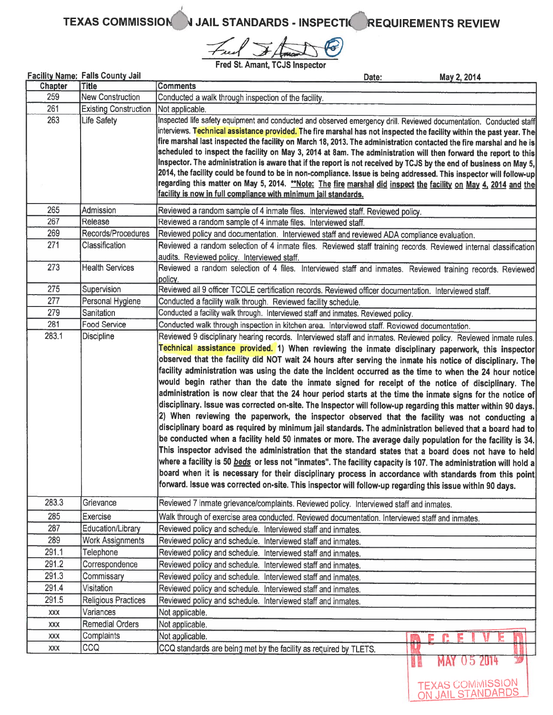Fred Frank @

TEXAS COMMISSION I JAIL STANDARDS - INSPECTIVE REQUIREMENTS REVIEW

**TEXAS COMMISSION<br>ON JAIL STANDARDS** 

Fred St. Amant, TCJS Inspector

|                | <b>Facility Name: Falls County Jail</b>  | May 2, 2014<br>Date:                                                                                                                                                                                                                                                                                                                                                                                                                                                                                                                                                                                                                                                                                                                                                                                                                                                                                                                                                                                                                                                                                                                                                                                                                                                                                                                                                                                                                                |  |  |  |  |  |
|----------------|------------------------------------------|-----------------------------------------------------------------------------------------------------------------------------------------------------------------------------------------------------------------------------------------------------------------------------------------------------------------------------------------------------------------------------------------------------------------------------------------------------------------------------------------------------------------------------------------------------------------------------------------------------------------------------------------------------------------------------------------------------------------------------------------------------------------------------------------------------------------------------------------------------------------------------------------------------------------------------------------------------------------------------------------------------------------------------------------------------------------------------------------------------------------------------------------------------------------------------------------------------------------------------------------------------------------------------------------------------------------------------------------------------------------------------------------------------------------------------------------------------|--|--|--|--|--|
| <b>Chapter</b> | <b>Title</b>                             | <b>Comments</b>                                                                                                                                                                                                                                                                                                                                                                                                                                                                                                                                                                                                                                                                                                                                                                                                                                                                                                                                                                                                                                                                                                                                                                                                                                                                                                                                                                                                                                     |  |  |  |  |  |
| 259            | <b>New Construction</b>                  | Conducted a walk through inspection of the facility.                                                                                                                                                                                                                                                                                                                                                                                                                                                                                                                                                                                                                                                                                                                                                                                                                                                                                                                                                                                                                                                                                                                                                                                                                                                                                                                                                                                                |  |  |  |  |  |
| 261            | <b>Existing Construction</b>             | Not applicable.                                                                                                                                                                                                                                                                                                                                                                                                                                                                                                                                                                                                                                                                                                                                                                                                                                                                                                                                                                                                                                                                                                                                                                                                                                                                                                                                                                                                                                     |  |  |  |  |  |
| 263            | Life Safety                              | Inspected life safety equipment and conducted and observed emergency drill. Reviewed documentation. Conducted staff<br>interviews. <mark>Technical assistance provided.</mark> The fire marshal has not inspected the facility within the past year. The<br>fire marshal last inspected the facility on March 18, 2013. The administration contacted the fire marshal and he is<br>scheduled to inspect the facility on May 3, 2014 at 8am. The administration will then forward the report to this<br>Inspector. The administration is aware that if the report is not received by TCJS by the end of business on May 5,<br>2014, the facility could be found to be in non-compliance. Issue is being addressed. This inspector will follow-up                                                                                                                                                                                                                                                                                                                                                                                                                                                                                                                                                                                                                                                                                                     |  |  |  |  |  |
|                |                                          | regarding this matter on May 5, 2014. <u>**Note: The fire marshal did inspect the facility on May 4, 2014 and the</u><br>facility is now in full compliance with minimum jail standards.                                                                                                                                                                                                                                                                                                                                                                                                                                                                                                                                                                                                                                                                                                                                                                                                                                                                                                                                                                                                                                                                                                                                                                                                                                                            |  |  |  |  |  |
| 265            | Admission                                | Reviewed a random sample of 4 inmate files. Interviewed staff. Reviewed policy.                                                                                                                                                                                                                                                                                                                                                                                                                                                                                                                                                                                                                                                                                                                                                                                                                                                                                                                                                                                                                                                                                                                                                                                                                                                                                                                                                                     |  |  |  |  |  |
| 267            | Release                                  | Reviewed a random sample of 4 inmate files. Interviewed staff.                                                                                                                                                                                                                                                                                                                                                                                                                                                                                                                                                                                                                                                                                                                                                                                                                                                                                                                                                                                                                                                                                                                                                                                                                                                                                                                                                                                      |  |  |  |  |  |
| 269            | Records/Procedures                       | Reviewed policy and documentation. Interviewed staff and reviewed ADA compliance evaluation.                                                                                                                                                                                                                                                                                                                                                                                                                                                                                                                                                                                                                                                                                                                                                                                                                                                                                                                                                                                                                                                                                                                                                                                                                                                                                                                                                        |  |  |  |  |  |
| 271            | Classification                           | Reviewed a random selection of 4 inmate files. Reviewed staff training records. Reviewed internal classification<br>audits. Reviewed policy. Interviewed staff.                                                                                                                                                                                                                                                                                                                                                                                                                                                                                                                                                                                                                                                                                                                                                                                                                                                                                                                                                                                                                                                                                                                                                                                                                                                                                     |  |  |  |  |  |
| 273            | <b>Health Services</b>                   | Reviewed a random selection of 4 files. Interviewed staff and inmates. Reviewed training records. Reviewed<br>policy.                                                                                                                                                                                                                                                                                                                                                                                                                                                                                                                                                                                                                                                                                                                                                                                                                                                                                                                                                                                                                                                                                                                                                                                                                                                                                                                               |  |  |  |  |  |
| 275            | Supervision                              | Reviewed all 9 officer TCOLE certification records. Reviewed officer documentation. Interviewed staff.                                                                                                                                                                                                                                                                                                                                                                                                                                                                                                                                                                                                                                                                                                                                                                                                                                                                                                                                                                                                                                                                                                                                                                                                                                                                                                                                              |  |  |  |  |  |
| 277            | Personal Hygiene                         | Conducted a facility walk through. Reviewed facility schedule.                                                                                                                                                                                                                                                                                                                                                                                                                                                                                                                                                                                                                                                                                                                                                                                                                                                                                                                                                                                                                                                                                                                                                                                                                                                                                                                                                                                      |  |  |  |  |  |
| 279            | Sanitation                               | Conducted a facility walk through. Interviewed staff and inmates. Reviewed policy.                                                                                                                                                                                                                                                                                                                                                                                                                                                                                                                                                                                                                                                                                                                                                                                                                                                                                                                                                                                                                                                                                                                                                                                                                                                                                                                                                                  |  |  |  |  |  |
| 281<br>283.1   | <b>Food Service</b><br><b>Discipline</b> | Conducted walk through inspection in kitchen area. Interviewed staff. Reviewed documentation.<br>Reviewed 9 disciplinary hearing records. Interviewed staff and inmates. Reviewed policy. Reviewed inmate rules.                                                                                                                                                                                                                                                                                                                                                                                                                                                                                                                                                                                                                                                                                                                                                                                                                                                                                                                                                                                                                                                                                                                                                                                                                                    |  |  |  |  |  |
|                |                                          | Technical assistance provided. 1) When reviewing the inmate disciplinary paperwork, this inspector<br>observed that the facility did NOT wait 24 hours after serving the inmate his notice of disciplinary. The<br>facility administration was using the date the incident occurred as the time to when the 24 hour notice<br>would begin rather than the date the inmate signed for receipt of the notice of disciplinary. The<br>administration is now clear that the 24 hour period starts at the time the inmate signs for the notice of<br>disciplinary. Issue was corrected on-site. The Inspector will follow-up regarding this matter within 90 days.<br>2) When reviewing the paperwork, the inspector observed that the facility was not conducting a<br>disciplinary board as required by minimum jail standards. The administration believed that a board had to<br>be conducted when a facility held 50 inmates or more. The average daily population for the facility is 34.<br>This inspector advised the administration that the standard states that a board does not have to held<br>where a facility is 50 <u>beds</u> or less not "inmates". The facility capacity is 107. The administration will hold a<br>board when it is necessary for their disciplinary process in accordance with standards from this point<br>forward. Issue was corrected on-site. This inspector will follow-up regarding this issue within 90 days. |  |  |  |  |  |
| 283.3          | Grievance                                | Reviewed 7 inmate grievance/complaints. Reviewed policy. Interviewed staff and inmates.                                                                                                                                                                                                                                                                                                                                                                                                                                                                                                                                                                                                                                                                                                                                                                                                                                                                                                                                                                                                                                                                                                                                                                                                                                                                                                                                                             |  |  |  |  |  |
| 285            | Exercise                                 | Walk through of exercise area conducted. Reviewed documentation. Interviewed staff and inmates.                                                                                                                                                                                                                                                                                                                                                                                                                                                                                                                                                                                                                                                                                                                                                                                                                                                                                                                                                                                                                                                                                                                                                                                                                                                                                                                                                     |  |  |  |  |  |
| 287            | Education/Library                        | Reviewed policy and schedule. Interviewed staff and inmates.                                                                                                                                                                                                                                                                                                                                                                                                                                                                                                                                                                                                                                                                                                                                                                                                                                                                                                                                                                                                                                                                                                                                                                                                                                                                                                                                                                                        |  |  |  |  |  |
| 289            | <b>Work Assignments</b>                  | Reviewed policy and schedule. Interviewed staff and inmates.                                                                                                                                                                                                                                                                                                                                                                                                                                                                                                                                                                                                                                                                                                                                                                                                                                                                                                                                                                                                                                                                                                                                                                                                                                                                                                                                                                                        |  |  |  |  |  |
| 291.1          | Telephone                                | Reviewed policy and schedule. Interviewed staff and inmates.                                                                                                                                                                                                                                                                                                                                                                                                                                                                                                                                                                                                                                                                                                                                                                                                                                                                                                                                                                                                                                                                                                                                                                                                                                                                                                                                                                                        |  |  |  |  |  |
| 291.2          | Correspondence                           | Reviewed policy and schedule. Interviewed staff and inmates.                                                                                                                                                                                                                                                                                                                                                                                                                                                                                                                                                                                                                                                                                                                                                                                                                                                                                                                                                                                                                                                                                                                                                                                                                                                                                                                                                                                        |  |  |  |  |  |
| 291.3          | Commissary                               | Reviewed policy and schedule. Interviewed staff and inmates.                                                                                                                                                                                                                                                                                                                                                                                                                                                                                                                                                                                                                                                                                                                                                                                                                                                                                                                                                                                                                                                                                                                                                                                                                                                                                                                                                                                        |  |  |  |  |  |
| 291.4          | Visitation                               | Reviewed policy and schedule. Interviewed staff and inmates.                                                                                                                                                                                                                                                                                                                                                                                                                                                                                                                                                                                                                                                                                                                                                                                                                                                                                                                                                                                                                                                                                                                                                                                                                                                                                                                                                                                        |  |  |  |  |  |
| 291.5          | <b>Religious Practices</b>               | Reviewed policy and schedule. Interviewed staff and inmates.                                                                                                                                                                                                                                                                                                                                                                                                                                                                                                                                                                                                                                                                                                                                                                                                                                                                                                                                                                                                                                                                                                                                                                                                                                                                                                                                                                                        |  |  |  |  |  |
| XXX            | Variances                                | Not applicable.                                                                                                                                                                                                                                                                                                                                                                                                                                                                                                                                                                                                                                                                                                                                                                                                                                                                                                                                                                                                                                                                                                                                                                                                                                                                                                                                                                                                                                     |  |  |  |  |  |
| XXX            | <b>Remedial Orders</b>                   | Not applicable.                                                                                                                                                                                                                                                                                                                                                                                                                                                                                                                                                                                                                                                                                                                                                                                                                                                                                                                                                                                                                                                                                                                                                                                                                                                                                                                                                                                                                                     |  |  |  |  |  |
| XXX            | Complaints                               | Not applicable.<br>Б                                                                                                                                                                                                                                                                                                                                                                                                                                                                                                                                                                                                                                                                                                                                                                                                                                                                                                                                                                                                                                                                                                                                                                                                                                                                                                                                                                                                                                |  |  |  |  |  |
| XXX            | CCQ                                      | CCQ standards are being met by the facility as required by TLETS.<br>052014                                                                                                                                                                                                                                                                                                                                                                                                                                                                                                                                                                                                                                                                                                                                                                                                                                                                                                                                                                                                                                                                                                                                                                                                                                                                                                                                                                         |  |  |  |  |  |